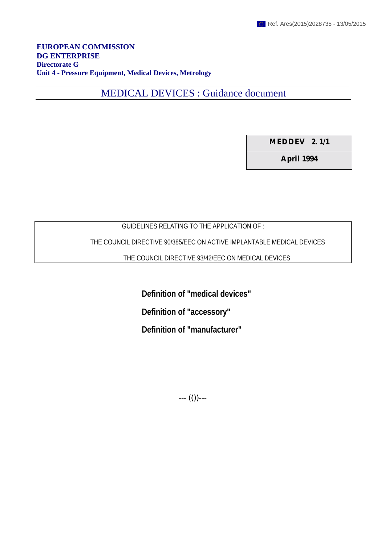**EUROPEAN COMMISSION DG ENTERPRISE Directorate G Unit 4 - Pressure Equipment, Medical Devices, Metrology**

MEDICAL DEVICES : Guidance document

**MEDDEV 2. 1/1**

**April 1994**

# GUIDELINES RELATING TO THE APPLICATION OF :

THE COUNCIL DIRECTIVE 90/385/EEC ON ACTIVE IMPLANTABLE MEDICAL DEVICES

THE COUNCIL DIRECTIVE 93/42/EEC ON MEDICAL DEVICES

**Definition of "medical devices"**

**Definition of "accessory"**

**Definition of "manufacturer"**

 $---(0)---$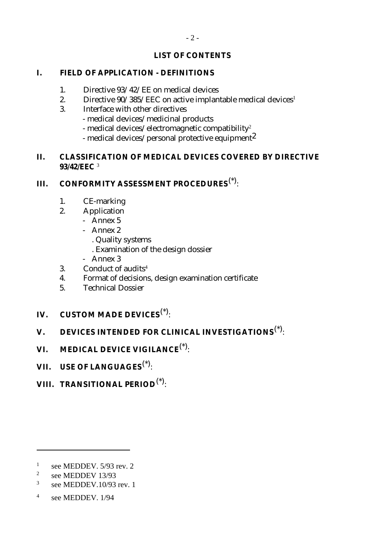# **LIST OF CONTENTS**

# **I. FIELD OF APPLICATION - DEFINITIONS**

- 1. Directive 93/42/EE on medical devices
- 2. Directive  $90/385/EEC$  on active implantable medical devices<sup>1</sup>
- 3. Interface with other directives
	- medical devices/medicinal products
	- medical devices/electromagnetic compatibility<sup>2</sup>
	- medical devices/personal protective equipment2

# **II. CLASSIFICATION OF MEDICAL DEVICES COVERED BY DIRECTIVE 93/42/EEC** <sup>3</sup>

# **III. CONFORMITY ASSESSMENT PROCEDURES**(\*):

- 1. CE-marking
- 2. Application
	- Annex 5
	- Annex 2
		- . Quality systems
		- . Examination of the design dossier
	- Annex 3
- 3. Conduct of audits $4$
- 4. Format of decisions, design examination certificate
- 5. Technical Dossier
- **IV. CUSTOM MADE DEVICES**(\*):

# **V. DEVICES INTENDED FOR CLINICAL INVESTIGATIONS**(\*):

- **VI. MEDICAL DEVICE VIGILANCE**(\*):
- **VII. USE OF LANGUAGES**(\*):
- **VIII. TRANSITIONAL PERIOD**(\*):

 $\overline{a}$ 

<sup>&</sup>lt;sup>1</sup> see MEDDEV,  $5/93$  rev. 2

<sup>&</sup>lt;sup>2</sup> see MEDDEV  $13/93$ 

 $3$  see MEDDEV.10/93 rev. 1

<sup>4</sup> see MEDDEV. 1/94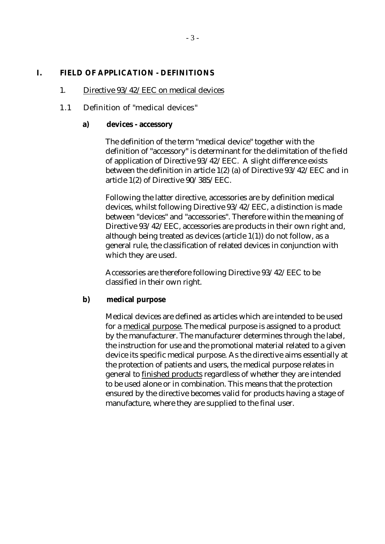#### **I. FIELD OF APPLICATION - DEFINITIONS**

#### 1. Directive 93/42/EEC on medical devices

## 1.1 Definition of "medical devices"

#### **a) devices - accessory**

The definition of the term "medical device" together with the definition of "accessory" is determinant for the delimitation of the field of application of Directive 93/42/EEC. A slight difference exists between the definition in article 1(2) (a) of Directive 93/42/EEC and in article 1(2) of Directive 90/385/EEC.

Following the latter directive, accessories are by definition medical devices, whilst following Directive 93/42/EEC, a distinction is made between "devices" and "accessories". Therefore within the meaning of Directive 93/42/EEC, accessories are products in their own right and, although being treated as devices (article 1(1)) do not follow, as a general rule, the classification of related devices in conjunction with which they are used.

Accessories are therefore following Directive 93/42/EEC to be classified in their own right.

#### **b) medical purpose**

Medical devices are defined as articles which are intended to be used for a medical purpose. The medical purpose is assigned to a product by the manufacturer. The manufacturer determines through the label, the instruction for use and the promotional material related to a given device its specific medical purpose. As the directive aims essentially at the protection of patients and users, the medical purpose relates in general to finished products regardless of whether they are intended to be used alone or in combination. This means that the protection ensured by the directive becomes valid for products having a stage of manufacture, where they are supplied to the final user.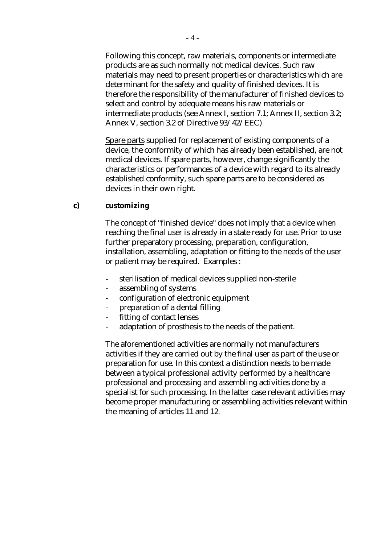Following this concept, raw materials, components or intermediate products are as such normally not medical devices. Such raw materials may need to present properties or characteristics which are determinant for the safety and quality of finished devices. It is therefore the responsibility of the manufacturer of finished devices to select and control by adequate means his raw materials or intermediate products (see Annex I, section 7.1; Annex II, section 3.2; Annex V, section 3.2 of Directive 93/42/EEC)

Spare parts supplied for replacement of existing components of a device, the conformity of which has already been established, are not medical devices. If spare parts, however, change significantly the characteristics or performances of a device with regard to its already established conformity, such spare parts are to be considered as devices in their own right.

#### **c) customizing**

The concept of "finished device" does not imply that a device when reaching the final user is already in a state ready for use. Prior to use further preparatory processing, preparation, configuration, installation, assembling, adaptation or fitting to the needs of the user or patient may be required. Examples :

- sterilisation of medical devices supplied non-sterile
- assembling of systems
- configuration of electronic equipment
- preparation of a dental filling
- fitting of contact lenses
- adaptation of prosthesis to the needs of the patient.

The aforementioned activities are normally not manufacturers activities if they are carried out by the final user as part of the use or preparation for use. In this context a distinction needs to be made between a typical professional activity performed by a healthcare professional and processing and assembling activities done by a specialist for such processing. In the latter case relevant activities may become proper manufacturing or assembling activities relevant within the meaning of articles 11 and 12.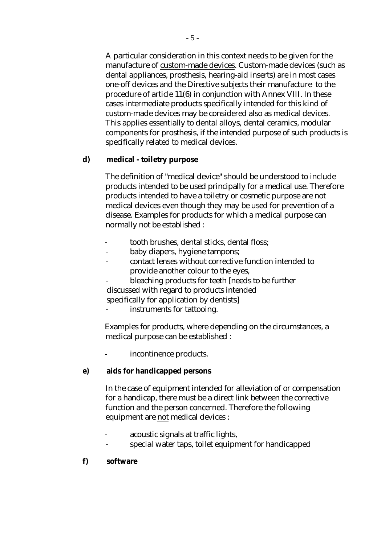A particular consideration in this context needs to be given for the manufacture of custom-made devices. Custom-made devices (such as dental appliances, prosthesis, hearing-aid inserts) are in most cases one-off devices and the Directive subjects their manufacture to the procedure of article 11(6) in conjunction with Annex VIII. In these cases intermediate products specifically intended for this kind of custom-made devices may be considered also as medical devices. This applies essentially to dental alloys, dental ceramics, modular components for prosthesis, if the intended purpose of such products is specifically related to medical devices.

#### **d) medical - toiletry purpose**

The definition of "medical device" should be understood to include products intended to be used principally for a medical use. Therefore products intended to have a toiletry or cosmetic purpose are not medical devices even though they may be used for prevention of a disease. Examples for products for which a medical purpose can normally not be established :

- tooth brushes, dental sticks, dental floss;
- baby diapers, hygiene tampons;
- contact lenses without corrective function intended to provide another colour to the eyes,
- bleaching products for teeth [needs to be further discussed with regard to products intended

specifically for application by dentists]

instruments for tattooing.

Examples for products, where depending on the circumstances, a medical purpose can be established :

incontinence products.

# **e) aids for handicapped persons**

In the case of equipment intended for alleviation of or compensation for a handicap, there must be a direct link between the corrective function and the person concerned. Therefore the following equipment are not medical devices :

- acoustic signals at traffic lights,
- special water taps, toilet equipment for handicapped

#### **f) software**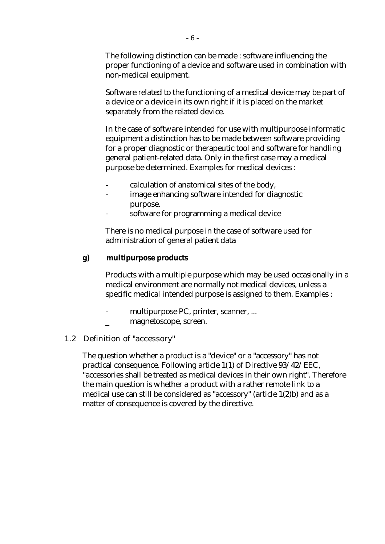The following distinction can be made : software influencing the proper functioning of a device and software used in combination with non-medical equipment.

Software related to the functioning of a medical device may be part of a device or a device in its own right if it is placed on the market separately from the related device.

In the case of software intended for use with multipurpose informatic equipment a distinction has to be made between software providing for a proper diagnostic or therapeutic tool and software for handling general patient-related data. Only in the first case may a medical purpose be determined. Examples for medical devices :

- calculation of anatomical sites of the body,
- image enhancing software intended for diagnostic purpose.
- software for programming a medical device

There is no medical purpose in the case of software used for administration of general patient data

## **g) multipurpose products**

Products with a multiple purpose which may be used occasionally in a medical environment are normally not medical devices, unless a specific medical intended purpose is assigned to them. Examples :

- multipurpose PC, printer, scanner, ...
- \_ magnetoscope, screen.

# 1.2 Definition of "accessory"

The question whether a product is a "device" or a "accessory" has not practical consequence. Following article 1(1) of Directive 93/42/EEC, "accessories shall be treated as medical devices in their own right". Therefore the main question is whether a product with a rather remote link to a medical use can still be considered as "accessory" (article 1(2)b) and as a matter of consequence is covered by the directive.